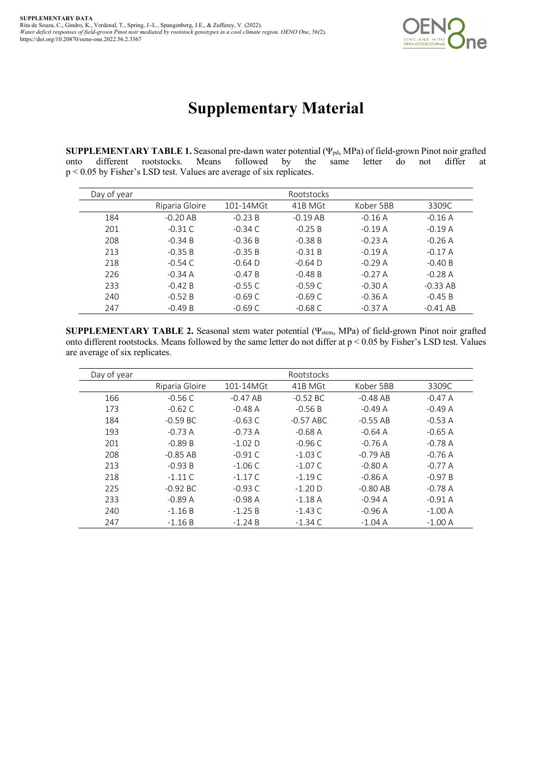

## **Supplementary Material**

**SUPPLEMENTARY TABLE 1.** Seasonal pre-dawn water potential (Ψpd, MPa) of field-grown Pinot noir grafted onto different rootstocks. Means followed by the same letter do not differ at p < 0.05 by Fisher's LSD test. Values are average of six replicates.

| Day of year |                |           | Rootstocks |           |            |
|-------------|----------------|-----------|------------|-----------|------------|
|             | Riparia Gloire | 101-14MGt | 41B MGt    | Kober 5BB | 3309C      |
| 184         | $-0.20$ AB     | $-0.23 B$ | $-0.19$ AB | $-0.16A$  | $-0.16A$   |
| 201         | $-0.31C$       | $-0.34$ C | $-0.25 B$  | $-0.19A$  | $-0.19A$   |
| 208         | $-0.34 B$      | $-0.36 B$ | $-0.38 B$  | $-0.23A$  | $-0.26A$   |
| 213         | $-0.35 B$      | $-0.35 B$ | $-0.31 B$  | $-0.19 A$ | $-0.17A$   |
| 218         | $-0.54$ C      | $-0.64$ D | $-0.64$ D  | $-0.29A$  | $-0.40 B$  |
| 226         | $-0.34A$       | $-0.47 B$ | $-0.48 B$  | $-0.27A$  | $-0.28A$   |
| 233         | $-0.42 B$      | $-0.55C$  | $-0.59C$   | $-0.30 A$ | $-0.33$ AB |
| 240         | $-0.52 B$      | $-0.69 C$ | $-0.69C$   | $-0.36A$  | $-0.45 B$  |
| 247         | $-0.49 B$      | $-0.69C$  | $-0.68$ C  | $-0.37 A$ | $-0.41$ AB |

**SUPPLEMENTARY TABLE 2.** Seasonal stem water potential (Ψstem, MPa) of field-grown Pinot noir grafted onto different rootstocks. Means followed by the same letter do not differ at p < 0.05 by Fisher's LSD test. Values are average of six replicates.

| Day of year |                |            | Rootstocks  |            |          |
|-------------|----------------|------------|-------------|------------|----------|
|             | Riparia Gloire | 101-14MGt  | 41B MGt     | Kober 5BB  | 3309C    |
| 166         | $-0.56C$       | $-0.47 AB$ | $-0.52$ BC  | $-0.48$ AB | $-0.47A$ |
| 173         | $-0.62$ C      | $-0.48A$   | $-0.56B$    | $-0.49A$   | $-0.49A$ |
| 184         | $-0.59$ BC     | $-0.63$ C  | $-0.57$ ABC | $-0.55$ AB | $-0.53A$ |
| 193         | $-0.73A$       | $-0.73A$   | $-0.68A$    | $-0.64A$   | $-0.65A$ |
| 201         | $-0.89 B$      | $-1.02$ D  | $-0.96C$    | $-0.76A$   | $-0.78A$ |
| 208         | $-0.85$ AB     | $-0.91C$   | $-1.03C$    | $-0.79$ AB | $-0.76A$ |
| 213         | $-0.93 B$      | $-1.06C$   | $-1.07C$    | $-0.80A$   | $-0.77A$ |
| 218         | $-1.11C$       | $-1.17C$   | $-1.19C$    | $-0.86A$   | $-0.97B$ |
| 225         | $-0.92$ BC     | $-0.93C$   | $-1.20D$    | $-0.80$ AB | $-0.78A$ |
| 233         | $-0.89A$       | $-0.98A$   | $-1.18A$    | $-0.94A$   | $-0.91A$ |
| 240         | $-1.16B$       | $-1.25B$   | $-1.43C$    | $-0.96A$   | $-1.00A$ |
| 247         | $-1.16B$       | $-1.24 B$  | $-1.34$ C   | $-1.04A$   | $-1.00A$ |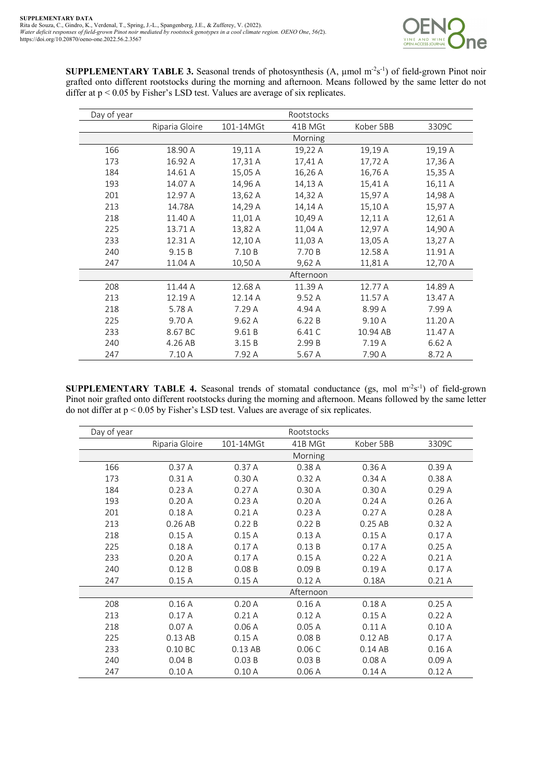

**SUPPLEMENTARY TABLE 3.** Seasonal trends of photosynthesis  $(A, \mu \text{mol m}^2 s^{-1})$  of field-grown Pinot noir grafted onto different rootstocks during the morning and afternoon. Means followed by the same letter do not differ at p < 0.05 by Fisher's LSD test. Values are average of six replicates.

| Day of year |                |           | Rootstocks |           |         |
|-------------|----------------|-----------|------------|-----------|---------|
|             | Riparia Gloire | 101-14MGt | 41B MGt    | Kober 5BB | 3309C   |
|             |                |           | Morning    |           |         |
| 166         | 18.90 A        | 19,11 A   | 19,22 A    | 19,19 A   | 19,19 A |
| 173         | 16.92 A        | 17,31 A   | 17,41 A    | 17,72 A   | 17,36 A |
| 184         | 14.61 A        | 15,05 A   | 16,26 A    | 16,76 A   | 15,35 A |
| 193         | 14.07 A        | 14,96 A   | 14,13 A    | 15,41 A   | 16,11 A |
| 201         | 12.97 A        | 13,62 A   | 14,32 A    | 15,97 A   | 14,98 A |
| 213         | 14.78A         | 14,29 A   | 14,14 A    | 15,10 A   | 15,97 A |
| 218         | 11.40 A        | 11,01 A   | 10,49 A    | 12,11 A   | 12,61 A |
| 225         | 13.71 A        | 13,82 A   | 11,04 A    | 12,97 A   | 14,90 A |
| 233         | 12.31 A        | 12,10 A   | 11,03 A    | 13,05 A   | 13,27 A |
| 240         | 9.15B          | 7.10B     | 7.70 B     | 12.58 A   | 11.91 A |
| 247         | 11.04 A        | 10,50 A   | 9,62 A     | 11,81 A   | 12,70 A |
|             |                |           | Afternoon  |           |         |
| 208         | 11.44 A        | 12.68 A   | 11.39 A    | 12.77 A   | 14.89 A |
| 213         | 12.19 A        | 12.14 A   | 9.52 A     | 11.57 A   | 13.47 A |
| 218         | 5.78 A         | 7.29 A    | 4.94 A     | 8.99 A    | 7.99 A  |
| 225         | 9.70 A         | 9.62A     | 6.22B      | 9.10 A    | 11.20 A |
| 233         | 8.67 BC        | 9.61 B    | 6.41 C     | 10.94 AB  | 11.47 A |
| 240         | 4.26 AB        | 3.15B     | 2.99 B     | 7.19 A    | 6.62 A  |
| 247         | 7.10 A         | 7.92 A    | 5.67 A     | 7.90 A    | 8.72 A  |

**SUPPLEMENTARY TABLE 4.** Seasonal trends of stomatal conductance (gs, mol m<sup>-2</sup>s<sup>-1</sup>) of field-grown Pinot noir grafted onto different rootstocks during the morning and afternoon. Means followed by the same letter do not differ at p < 0.05 by Fisher's LSD test. Values are average of six replicates.

| Day of year |                |           | Rootstocks |           |       |
|-------------|----------------|-----------|------------|-----------|-------|
|             | Riparia Gloire | 101-14MGt | 41B MGt    | Kober 5BB | 3309C |
|             |                |           | Morning    |           |       |
| 166         | 0.37A          | 0.37A     | 0.38A      | 0.36A     | 0.39A |
| 173         | 0.31A          | 0.30A     | 0.32A      | 0.34A     | 0.38A |
| 184         | 0.23A          | 0.27A     | 0.30A      | 0.30A     | 0.29A |
| 193         | 0.20A          | 0.23A     | 0.20A      | 0.24A     | 0.26A |
| 201         | 0.18A          | 0.21A     | 0.23A      | 0.27A     | 0.28A |
| 213         | 0.26AB         | 0.22B     | 0.22B      | 0.25 AB   | 0.32A |
| 218         | 0.15A          | 0.15A     | 0.13A      | 0.15A     | 0.17A |
| 225         | 0.18A          | 0.17A     | 0.13B      | 0.17A     | 0.25A |
| 233         | 0.20A          | 0.17A     | 0.15A      | 0.22A     | 0.21A |
| 240         | 0.12B          | 0.08B     | 0.09B      | 0.19A     | 0.17A |
| 247         | 0.15A          | 0.15A     | 0.12A      | 0.18A     | 0.21A |
|             |                |           | Afternoon  |           |       |
| 208         | 0.16A          | 0.20A     | 0.16A      | 0.18A     | 0.25A |
| 213         | 0.17A          | 0.21A     | 0.12A      | 0.15A     | 0.22A |
| 218         | 0.07A          | 0.06A     | 0.05A      | 0.11A     | 0.10A |
| 225         | 0.13 AB        | 0.15A     | 0.08B      | 0.12 AB   | 0.17A |
| 233         | 0.10 BC        | 0.13 AB   | 0.06C      | 0.14 AB   | 0.16A |
| 240         | 0.04B          | 0.03B     | 0.03B      | 0.08A     | 0.09A |
| 247         | 0.10A          | 0.10A     | 0.06A      | 0.14A     | 0.12A |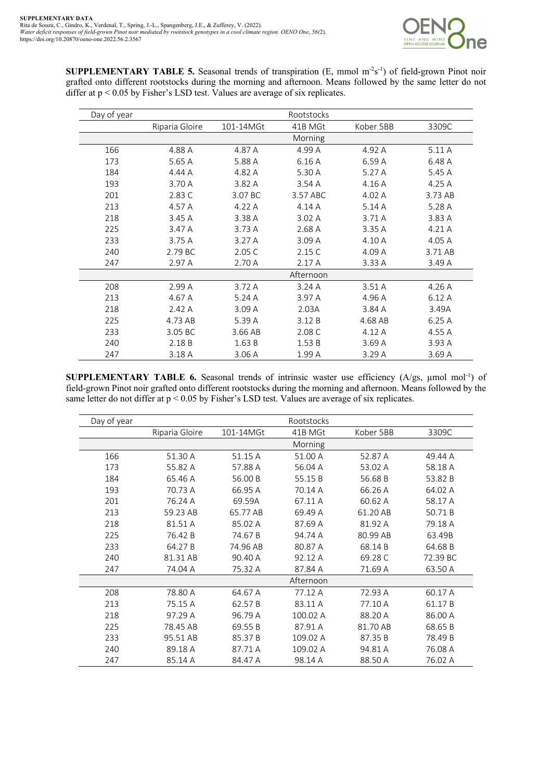

**SUPPLEMENTARY TABLE 5.** Seasonal trends of transpiration  $(E, \text{mmol m}^2s^{-1})$  of field-grown Pinot noir grafted onto different rootstocks during the morning and afternoon. Means followed by the same letter do not differ at p < 0.05 by Fisher's LSD test. Values are average of six replicates.

| Day of year |                |           | Rootstocks |           |         |
|-------------|----------------|-----------|------------|-----------|---------|
|             | Riparia Gloire | 101-14MGt | 41B MGt    | Kober 5BB | 3309C   |
|             |                |           | Morning    |           |         |
| 166         | 4.88 A         | 4.87 A    | 4.99 A     | 4.92 A    | 5.11 A  |
| 173         | 5.65 A         | 5.88 A    | 6.16 A     | 6.59 A    | 6.48 A  |
| 184         | 4.44 A         | 4.82 A    | 5.30 A     | 5.27 A    | 5.45 A  |
| 193         | 3.70 A         | 3.82 A    | 3.54 A     | 4.16 A    | 4.25 A  |
| 201         | 2.83 C         | 3.07 BC   | 3.57 ABC   | 4.02 A    | 3.73 AB |
| 213         | 4.57 A         | 4.22 A    | 4.14 A     | 5.14A     | 5.28 A  |
| 218         | 3.45 A         | 3.38 A    | 3.02A      | 3.71 A    | 3.83 A  |
| 225         | 3.47 A         | 3.73 A    | 2.68 A     | 3.35 A    | 4.21 A  |
| 233         | 3.75A          | 3.27A     | 3.09A      | 4.10 A    | 4.05 A  |
| 240         | 2.79 BC        | 2.05 C    | 2.15C      | 4.09 A    | 3.71 AB |
| 247         | 2.97 A         | 2.70 A    | 2.17A      | 3.33 A    | 3.49 A  |
|             |                |           | Afternoon  |           |         |
| 208         | 2.99 A         | 3.72 A    | 3.24A      | 3.51A     | 4.26 A  |
| 213         | 4.67 A         | 5.24A     | 3.97 A     | 4.96 A    | 6.12 A  |
| 218         | 2.42 A         | 3.09 A    | 2.03A      | 3.84 A    | 3.49A   |
| 225         | 4.73 AB        | 5.39 A    | 3.12 B     | 4.68 AB   | 6.25A   |
| 233         | 3.05 BC        | 3.66 AB   | 2.08 C     | 4.12 A    | 4.55 A  |
| 240         | 2.18 B         | 1.63B     | 1.53B      | 3.69 A    | 3.93 A  |
| 247         | 3.18 A         | 3.06 A    | 1.99 A     | 3.29A     | 3.69 A  |

**SUPPLEMENTARY TABLE 6.** Seasonal trends of intrinsic waster use efficiency  $(A/gs, \mu \text{mol mol}^{-1})$  of field-grown Pinot noir grafted onto different rootstocks during the morning and afternoon. Means followed by the same letter do not differ at p < 0.05 by Fisher's LSD test. Values are average of six replicates.

| Day of year |                |           | Rootstocks |           |          |
|-------------|----------------|-----------|------------|-----------|----------|
|             | Riparia Gloire | 101-14MGt | 41B MGt    | Kober 5BB | 3309C    |
|             |                |           | Morning    |           |          |
| 166         | 51.30 A        | 51.15 A   | 51.00 A    | 52.87 A   | 49.44 A  |
| 173         | 55.82 A        | 57.88 A   | 56.04 A    | 53.02 A   | 58.18 A  |
| 184         | 65.46 A        | 56.00 B   | 55.15B     | 56.68 B   | 53.82 B  |
| 193         | 70.73 A        | 66.95 A   | 70.14 A    | 66.26 A   | 64.02 A  |
| 201         | 76.24 A        | 69.59A    | 67.11 A    | 60.62 A   | 58.17 A  |
| 213         | 59.23 AB       | 65.77 AB  | 69.49 A    | 61.20 AB  | 50.71B   |
| 218         | 81.51 A        | 85.02 A   | 87.69 A    | 81.92 A   | 79.18 A  |
| 225         | 76.42 B        | 74.67 B   | 94.74 A    | 80.99 AB  | 63.49B   |
| 233         | 64.27B         | 74.96 AB  | 80.87 A    | 68.14 B   | 64.68 B  |
| 240         | 81.31 AB       | 90.40 A   | 92.12 A    | 69.28 C   | 72.39 BC |
| 247         | 74.04 A        | 75.32 A   | 87.84 A    | 71.69 A   | 63.50 A  |
|             |                |           | Afternoon  |           |          |
| 208         | 78.80 A        | 64.67 A   | 77.12 A    | 72.93 A   | 60.17 A  |
| 213         | 75.15 A        | 62.57B    | 83.11 A    | 77.10 A   | 61.17B   |
| 218         | 97.29 A        | 96.79 A   | 100.02 A   | 88.20 A   | 86.00 A  |
| 225         | 78.45 AB       | 69.55 B   | 87.91 A    | 81.70 AB  | 68.65 B  |
| 233         | 95.51 AB       | 85.37B    | 109.02 A   | 87.35 B   | 78.49 B  |
| 240         | 89.18 A        | 87.71 A   | 109.02 A   | 94.81 A   | 76.08 A  |
| 247         | 85.14 A        | 84.47 A   | 98.14 A    | 88.50 A   | 76.02 A  |